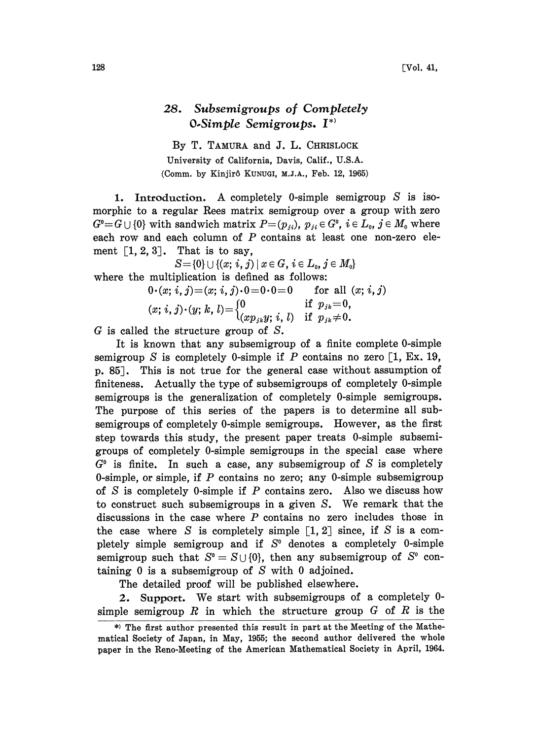## 28. Subsemigroups of Completely  $O-Simple$  Semigroups.  $I^*$

By T. TAMURA and J. L. CHRISLOCK University of California, Davis, Calif., U.S.A. (Comm. by Kinjirô KuNuGI, M.J.A., Feb. 12, 1965)

1. Introduction. A completely 0-simple semigroup S is isomorphic to a regular Rees matrix semigroup over a group with zero  $G^0=G\cup\{0\}$  with sandwich matrix  $P=(p_{ji}), p_{ji}\in G^0$ ,  $i\in L_0$ ,  $j\in M_0$  where each row and each column of P contains at least one non-zero element  $\lceil 1, 2, 3 \rceil$ . That is to say,

 $S = \{0\} \cup \{(x; i, j) | x \in G, i \in L_0, j \in M_0\}$ where the multiplication is defined as follows:

$$
0 \cdot (x; i, j) = (x; i, j) \cdot 0 = 0 \cdot 0 = 0 \quad \text{for all } (x; i, j)
$$
  
(x; i, j) \cdot (y; k, l) = 
$$
\begin{cases} 0 & \text{if } p_{jk} = 0, \\ (x p_{jk} y; i, l) & \text{if } p_{jk} \neq 0. \end{cases}
$$

 $G$  is called the structure group of  $S$ .

It is known that any subsemigroup of a finite complete 0-simple semigroup S is completely 0-simple if P contains no zero  $[1, Ex. 19,$ p. 85J. This is not true for the general case without assumption of finiteness. Actually the type of subsemigroups of completely 0-simple semigroups is the generalization of completely 0-simple semigroups. The purpose of this series of the papers is to determine all subsemigroups of completely 0-simple semigroups. However, as the first step towards this sudy, the present paper treats 0-simple subsemigroups of completely 0-simple semigroups in the special case where  $G^{\circ}$  is finite. In such a case, any subsemigroup of S is completely 0-simple, or simple, if  $P$  contains no zero; any 0-simple subsemigroup of S is completely 0-simple if P contains zero. Also we discuss how to construct such subsemigroups in <sup>a</sup> given S. We remark that the discussions in the case where  $P$  contains no zero includes those in the case where S is completely simple  $\lbrack 1, 2 \rbrack$  since, if S is a completely simple semigroup and if  $S<sup>0</sup>$  denotes a completely 0-simple semigroup such that  $S^0 = S \cup \{0\}$ , then any subsemigroup of  $S^0$  containing  $0$  is a subsemigroup of  $S$  with  $0$  adjoined.

The detailed proof will be published elsewhere.

2. Support. We start with subsemigroups of <sup>a</sup> completely 0 simple semigroup  $R$  in which the structure group  $G$  of  $R$  is the

<sup>\*)</sup> The first author presented this result in part at the Meeting of the Mathematical Society of Japan, in May, 1955; the second author delivered the whole paper in the Reno-Meeting of the American Mathematical Society in April, 1964.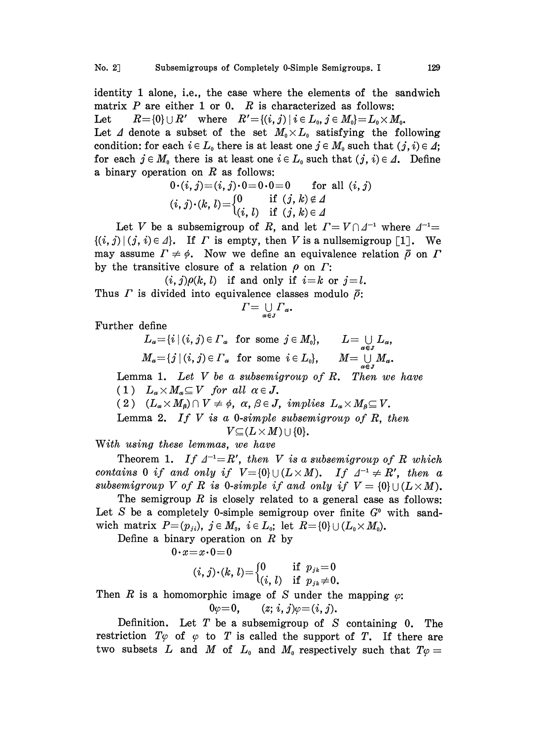identity 1 alone, i.e., the case where the elements of the sandwich matrix  $P$  are either 1 or 0.  $R$  is characterized as follows: Let  $R = \{0\} \cup R'$  where  $R' = \{(i, j) \mid i \in L_0, j \in M_0\} = L_0 \times M_0$ . Let  $\Delta$  denote a subset of the set  $M_0 \times L_0$  satisfying the following condition: for each  $i \in L_0$  there is at least one  $j \in M_0$  such that  $(j, i) \in \Delta$ ; for each  $j \in M_0$  there is at least one  $i \in L_0$  such that  $(j, i) \in \Lambda$ . Define a binary operation on  $R$  as follows:

$$
0 \cdot (i, j) = (i, j) \cdot 0 = 0 \cdot 0 = 0 \quad \text{for all } (i, j)
$$
  

$$
(i, j) \cdot (k, l) = \begin{cases} 0 & \text{if } (j, k) \notin \Lambda \\ (i, l) & \text{if } (j, k) \in \Lambda \end{cases}
$$

Let V be a subsemigroup of R, and let  $\Gamma = V \cap \Delta^{-1}$  where  $\Delta^{-1} =$ Let V be a subsemigroup of R, and let  $\Gamma = V \cap \Delta^{-1}$  where  $\Delta^{-1} = \{(i, j) | (j, i) \in \Delta\}$ . If  $\Gamma$  is empty, then V is a nullsemigroup [1]. We may assume  $\Gamma \neq \phi$ . Now we define an equivalence relation  $\overline{\rho}$  on  $\Gamma$ by the transitive closure of a relation  $\rho$  on  $\Gamma$ :

$$
(i,j)\rho(k,\,l)\quad{\rm if\;\;and\;\;only\;\;if\;\;}i\!=\!k\;\;or\;\;j\!=\!l.
$$

Thus  $\Gamma$  is divided into equivalence classes modulo  $\bar{\rho}$ :

$$
\Gamma = \bigcup_{\alpha \in J} \Gamma_{\alpha}
$$

Further define

$$
L_{\alpha} = \{i \mid (i, j) \in \Gamma_{\alpha} \text{ for some } j \in M_{0}\}, \qquad L = \bigcup_{\alpha \in J} L_{\alpha},
$$
  

$$
M_{\alpha} = \{j \mid (i, j) \in \Gamma_{\alpha} \text{ for some } i \in L_{0}\}, \qquad M = \bigcup_{\alpha \in J} M_{\alpha}.
$$

Lemma 1. Let V be a subsemigroup of R. Then we have (1)  $L_{\alpha} \times M_{\alpha} \subseteq V$  for all  $\alpha \in J$ .

(2)  $(L_{\alpha} \times M_{\beta}) \cap V \neq \emptyset$ ,  $\alpha, \beta \in J$ , implies  $L_{\alpha} \times M_{\beta} \subseteq V$ .

Lemma 2. If  $V$  is a 0-simple subsemigroup of  $R$ , then  $V \subseteq (L \times M) \cup \{0\}.$ 

With using these lemmas, we have

Theorem 1. If  $\Delta^{-1} = R'$ , then V is a subsemigroup of R which contains 0 if and only if  $V = \{0\} \cup (L \times M)$ . If  $\Delta^{-1} \neq R'$ , then a subsemigroup V of R is 0-simple if and only if  $V = \{0\} \cup (L \times M)$ .

The semigroup  $R$  is closely related to a general case as follows: Let S be a completely 0-simple semigroup over finite  $G^{\circ}$  with sandwich matrix  $P=(p_{ji}), j \in M_0, i \in L_0;$  let  $R=\{0\} \cup (L_0 \times M_0).$ 

Define a binary operation on  $R$  by

 $0 \cdot x = x \cdot 0 = 0$ 

$$
(i, j) \cdot (k, l) = \begin{cases} 0 & \text{if } p_{jk} = 0 \\ (i, l) & \text{if } p_{jk} \neq 0. \end{cases}
$$

Then R is a homomorphic image of S under the mapping  $\varphi$ :<br>  $0\varphi = 0$   $(z, i, j)\varphi = (i, j)$ .

$$
0\varphi=0, \qquad (z; \, i, \, j)\varphi=(i, \, j).
$$

Definition. Let T be a subsemigroup of S containing 0. The restriction  $T\varphi$  of  $\varphi$  to T is called the support of T. If there are two subsets L and M of  $L_0$  and M<sub>0</sub> respectively such that  $T\varphi =$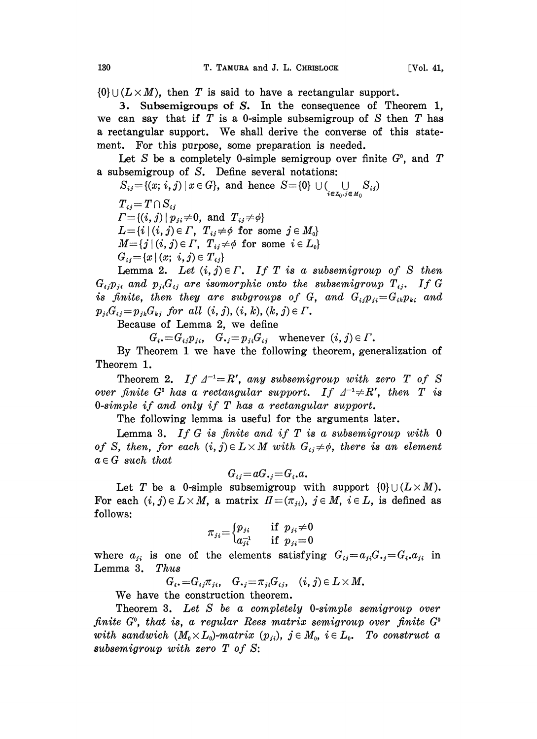$\{0\} \cup (L \times M)$ , then T is said to have a rectangular support.

3. Subsemigroups of S. In the consequence of Theorem 1, we can say that if  $T$  is a 0-simple subsemigroup of  $S$  then  $T$  has <sup>a</sup> rectangular support. We shall derive the converse of this statement. For this purpose, some preparation is needed.

Let S be a completely 0-simple semigroup over finite  $G^0$ , and T a subsemigroup of S. Define several notations:

 $S_{ij} = \{(x; i, j) | x \in G\}$ , and hence  $S = \{0\} \cup (\bigcup\limits_{i \in L_0, j \in M}$ 

 $T_{ij} = T \cap S_{ij}$  $\Gamma = \{(i, j) | p_{ji} \neq 0, \text{ and } T_{ij} \neq \emptyset\}$  $L = \{i \mid (i, j) \in \Gamma, T_{ij} \neq \emptyset \text{ for some } j \in M_0\}$  $M = \{j \mid (i, j) \in \Gamma, T_{ij} \neq \emptyset \text{ for some } i \in L_0\}$  $G_{ij} = \{x \mid (x; i, j) \in T_{ij}\}\$ 

Lemma 2. Let  $(i, j) \in \Gamma$ . If T is a subsemigroup of S then  $G_{ii}p_{ii}$  and  $p_{ii}G_{ii}$  are isomorphic onto the subsemigroup  $T_{ii}$ . If G is finite, then they are subgroups of G, and  $G_{ij}p_{ji}=G_{ik}p_{ki}$  and  $p_{ji}G_{ij} = p_{jk}G_{kj}$  for all  $(i, j)$ ,  $(i, k)$ ,  $(k, j) \in \Gamma$ .

Because of Lemma 2, we define

 $G_i = G_{ij} p_{ji}, \quad G_{ij} = p_{ji} G_{ij}$  whenever  $(i, j) \in \Gamma$ .

By Theorem <sup>1</sup> we have the following theorem, generalization of Theorem 1.

Theorem 2. If  $\Delta^{-1} = R'$ , any subsemigroup with zero T of S over finite G<sup>o</sup> has a rectangular support. If  $\Delta^{-1} \neq R'$ , then T is O-simple if and only if T has a rectangular support.

The following lemma is useful for the arguments later.

Lemma 3. If G is finite and if T is a subsemigroup with  $0$ of S, then, for each  $(i, j) \in L \times M$  with  $G_{ij} \neq \phi$ , there is an element  $a \in G$  such that

$$
G_{ij} = aG_{\bullet j} = G_i \cdot a \cdot
$$

Let T be a 0-simple subsemigroup with support  $\{0\} \cup (L \times M)$ . For each  $(i, j) \in L \times M$ , a matrix  $\Pi = (\pi_{ji}), j \in M$ ,  $i \in L$ , is defined as follows:

$$
\pi_{ji} = \begin{cases} p_{ji} & \text{if } p_{ji} \neq 0 \\ a_{ji}^{-1} & \text{if } p_{ji} = 0 \end{cases}
$$

where  $a_{ji}$  is one of the elements satisfying  $G_{ij}=a_{ji}G_{ij}=G_i$ ,  $a_{ji}$  in Lemma 3. Thus Lemma 3.

 $G_i = G_{ij}\pi_{ji}, \quad G_{ij} = \pi_{ji}G_{ij}, \quad (i, j) \in L \times M.$ 

We have the construction theorem.

Theorem 3. Let S be a completely 0-simple semigroup over finite  $G^{\circ}$ , that is, a regular Rees matrix semigroup over finite  $G^{\circ}$ with sandwich  $(M_0\times L_0)$ -matrix  $(p_{ji})$ ,  $j\in M_0$ ,  $i\in L_0$ . To construct a subsemigroup with zero T of S: